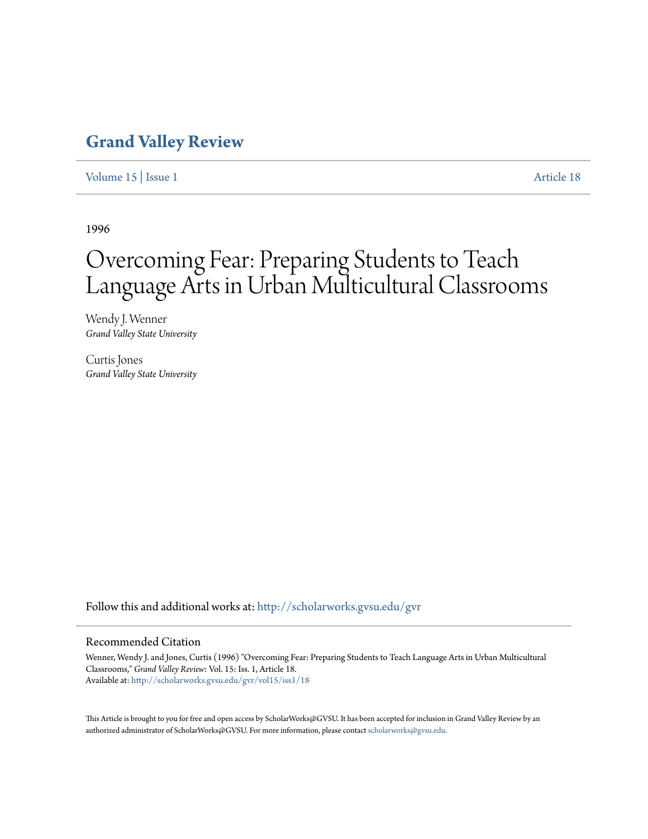## **[Grand Valley Review](http://scholarworks.gvsu.edu/gvr?utm_source=scholarworks.gvsu.edu%2Fgvr%2Fvol15%2Fiss1%2F18&utm_medium=PDF&utm_campaign=PDFCoverPages)**

[Volume 15](http://scholarworks.gvsu.edu/gvr/vol15?utm_source=scholarworks.gvsu.edu%2Fgvr%2Fvol15%2Fiss1%2F18&utm_medium=PDF&utm_campaign=PDFCoverPages) | [Issue 1](http://scholarworks.gvsu.edu/gvr/vol15/iss1?utm_source=scholarworks.gvsu.edu%2Fgvr%2Fvol15%2Fiss1%2F18&utm_medium=PDF&utm_campaign=PDFCoverPages) [Article 18](http://scholarworks.gvsu.edu/gvr/vol15/iss1/18?utm_source=scholarworks.gvsu.edu%2Fgvr%2Fvol15%2Fiss1%2F18&utm_medium=PDF&utm_campaign=PDFCoverPages)

1996

# Overcoming Fear: Preparing Students to Teach Language Arts in Urban Multicultural Classrooms

Wendy J. Wenner *Grand Valley State University*

Curtis Jones *Grand Valley State University*

Follow this and additional works at: [http://scholarworks.gvsu.edu/gvr](http://scholarworks.gvsu.edu/gvr?utm_source=scholarworks.gvsu.edu%2Fgvr%2Fvol15%2Fiss1%2F18&utm_medium=PDF&utm_campaign=PDFCoverPages)

#### Recommended Citation

Wenner, Wendy J. and Jones, Curtis (1996) "Overcoming Fear: Preparing Students to Teach Language Arts in Urban Multicultural Classrooms," *Grand Valley Review*: Vol. 15: Iss. 1, Article 18. Available at: [http://scholarworks.gvsu.edu/gvr/vol15/iss1/18](http://scholarworks.gvsu.edu/gvr/vol15/iss1/18?utm_source=scholarworks.gvsu.edu%2Fgvr%2Fvol15%2Fiss1%2F18&utm_medium=PDF&utm_campaign=PDFCoverPages)

This Article is brought to you for free and open access by ScholarWorks@GVSU. It has been accepted for inclusion in Grand Valley Review by an authorized administrator of ScholarWorks@GVSU. For more information, please contact [scholarworks@gvsu.edu.](mailto:scholarworks@gvsu.edu)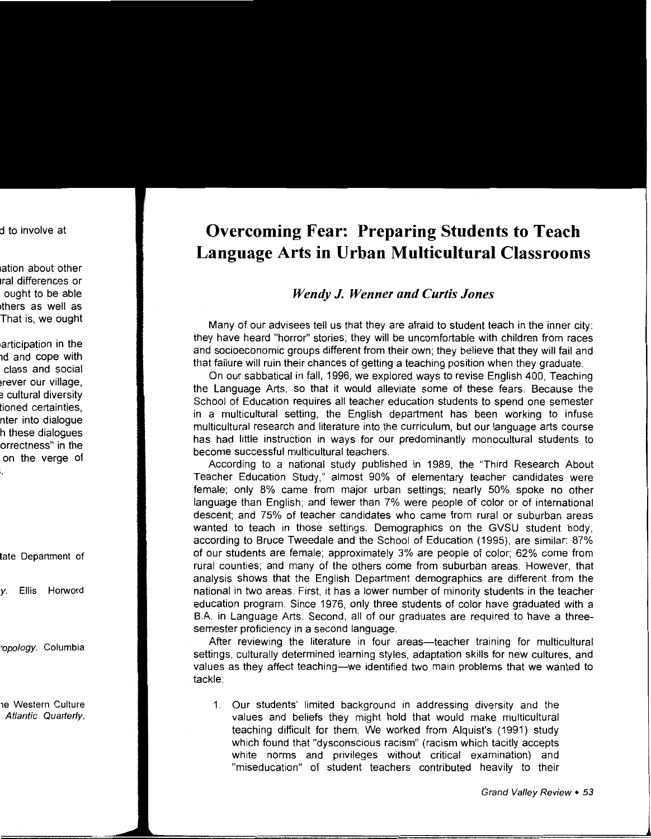### **Overcoming Fear: Preparing Students to Teach Language Arts in Urban Multicultural Classrooms**

### *Wendy J. Wenner and Curtis Jones*

Many of our advisees tell us that they are afraid to student teach in the inner city: they have heard "horror" stories; they will be uncomfortable with children from races and socioeconomic groups different from their own; they believe that they will fail and that failure will ruin their chances of getting a teaching position when they graduate.

On our sabbatical in fall, 1996, we explored ways to revise English 400, Teaching the Language Arts, so that it would alleviate some of these fears. Because the School of Education requires all teacher education students to spend one semester in a multicultural setting, the English department has been working to infuse multicultural research and literature into the curriculum, but our language arts course has had little instruction in ways for our predominantly monocultural students to become successful multicultural teachers.

According to a national study published in 1989, the "Third Research About Teacher Education Study," almost 90% of elementary teacher candidates were female; only 8% came from major urban settings; nearly 50% spoke no other language than English; and fewer than 7% were people of color or of international descent; and 75% of teacher candidates who came from rural or suburban areas wanted to teach in those settings. Demographics on the GVSU student body, according to Bruce Tweedale and the School of Education (1995), are similar: 87% of our students are female; approximately 3% are people of color; 62% come from rural counties; and many of the others come from suburban areas. However, that analysis shows that the English Department demographics are different from the national in two areas. First, it has a lower number of minority students in the teacher education program. Since 1976, only three students of color have graduated with a B.A. in Language Arts. Second, all of our graduates are required to have a threesemester proficiency in a second language.

After reviewing the literature in four areas—teacher training for multicultural settings, culturally determined learning styles, adaptation skills for new cultures, and values as they affect teaching-we identified two main problems that we wanted to tackle:

1. Our students' limited background in addressing diversity and the values and beliefs they might hold that would make multicultural teaching difficult for them. We worked from Alquist's ( 1991) study which found that "dysconscious racism" (racism which tacitly accepts white norms and privileges without critical examination) and "miseducation" of student teachers contributed heavily to their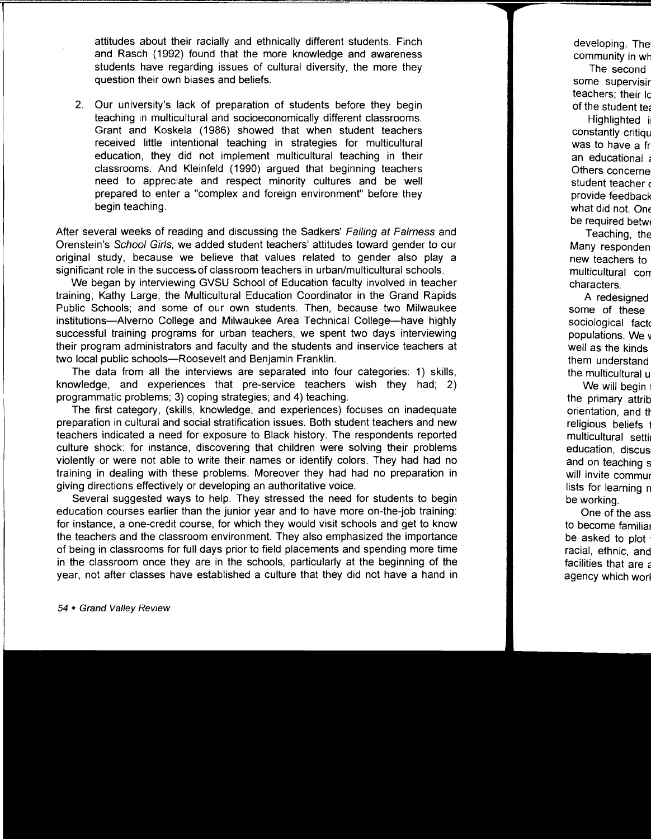attitudes about their racially and ethnically different students. Finch and Rasch (1992) found that the more knowledge and awareness students have regarding issues of cultural diversity, the more they question their own biases and beliefs.

2. Our university's lack of preparation of students before they begin teaching in multicultural and socioeconomically different classrooms. Grant and Koskela ( 1986) showed that when student teachers received little intentional teaching in strategies for multicultural education, they did not implement multicultural teaching in their classrooms. And Kleinfeld (1990) argued that beginning teachers need to appreciate and respect minority cultures and be well prepared to enter a "complex and foreign environment" before they begin teaching.

After several weeks of reading and discussing the Sadkers' Failing at Fairness and Orenstein's School Girls, we added student teachers' attitudes toward gender to our original study, because we believe that values related to gender also play a significant role in the success. of classroom teachers in urban/multicultural schools.

We began by interviewing GVSU School of Education faculty involved in teacher training; Kathy Large, the Multicultural Education Coordinator in the Grand Rapids Public Schools; and some of our own students. Then, because two Milwaukee institutions-Aiverno College and Milwaukee Area Technical College-have highly successful training programs for urban teachers, we spent two days interviewing their program administrators and faculty and the students and inservice teachers at two local public schools--Roosevelt and Benjamin Franklin.

The data from all the interviews are separated into four categories: 1) skills, knowledge, and experiences that pre-service teachers wish they had; 2) programmatic problems; 3) coping strategies; and 4) teaching.

The first category, (skills, knowledge, and experiences) focuses on inadequate preparation in cultural and social stratification issues. Both student teachers and new teachers indicated a need for exposure to Black history. The respondents reported culture shock: for instance, discovering that children were solving their problems violently or were not able to write their names or identify colors. They had had no training in dealing with these problems. Moreover they had had no preparation in giving directions effectively or developing an authoritative voice.

Several suggested ways to help. They stressed the need for students to begin education courses earlier than the junior year and to have more on-the-job training: for instance, a one-credit course, for which they would visit schools and get to know the teachers and the classroom environment. They also emphasized the importance of being in classrooms for full days prior to field placements and spending more time in the classroom once they are in the schools, particularly at the beginning of the year, not after classes have established a culture that they did not have a hand in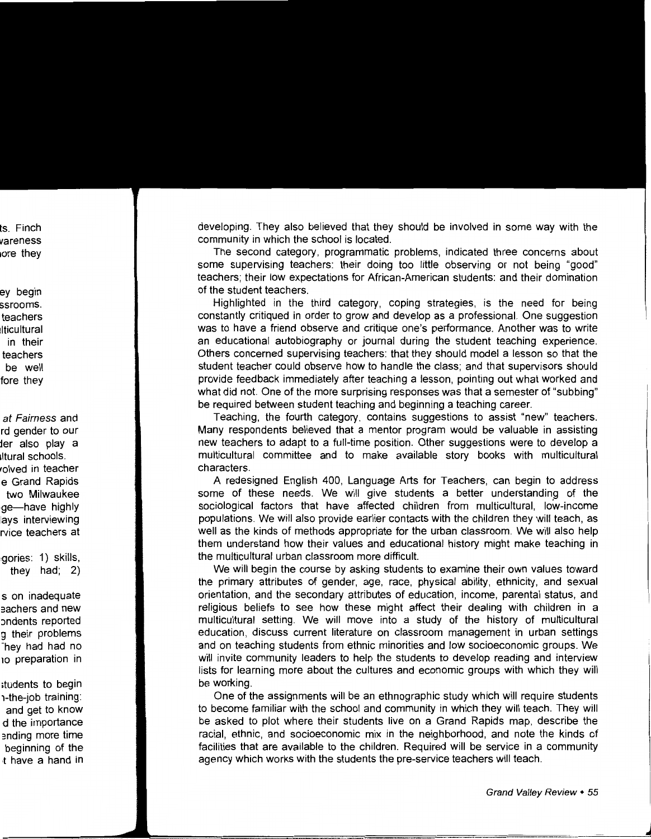developing. They also believed that they should be involved in some way with the community in which the school is located.

The second category, programmatic problems, indicated three concerns about some supervising teachers: their doing too little observing or not being "good" teachers; their low expectations for African-American students: and their domination of the student teachers.

Highlighted in the third category, coping strategies, is the need for being constantly critiqued in order to grow and develop as a professional. One suggestion was to have a friend observe and critique one's performance. Another was to write an educational autobiography or journal during the student teaching experience. Others concerned supervising teachers: that they should model a lesson so that the student teacher could observe how to handle the class; and that supervisors should provide feedback immediately after teaching a lesson, pointing out what worked and what did not. One of the more surprising responses was that a semester of "subbing" be required between student teaching and beginning a teaching career.

Teaching, the fourth category, contains suggestions to assist "new" teachers. Many respondents believed that a mentor program would be valuable in assisting new teachers to adapt to a full-time position. Other suggestions were to develop a multicultural committee and to make available story books with multicultural characters.

A redesigned English 400, Language Arts for Teachers, can begin to address some of these needs. We will give students a better understanding of the sociological factors that have affected children from multicultural, low-income populations. We will also provide earlier contacts with the children they will teach, as well as the kinds of methods appropriate for the urban classroom. We will also help them understand how their values and educational history might make teaching in the multicultural urban classroom more difficult.

We will begin the course by asking students to examine their own values toward the primary attributes of gender, age, race, physical ability, ethnicity, and sexual orientation, and the secondary attributes of education, income, parental status, and religious beliefs to see how these might affect their dealing with children in a multicultural setting. We will move into a study of the history of multicultural education, discuss current literature on classroom management in urban settings and on teaching students from ethnic minorities and low socioeconomic groups. We will invite community leaders to help the students to develop reading and interview lists for learning more about the cultures and economic groups with which they will be working.

One of the assignments will be an ethnographic study which will require students to become familiar with the school and community in which they will teach. They will be asked to plot where their students live on a Grand Rapids map, describe the racial, ethnic, and socioeconomic mix in the neighborhood, and note the kinds of facilities that are available to the children. Required will be service in a community agency which works with the students the pre-service teachers will teach.